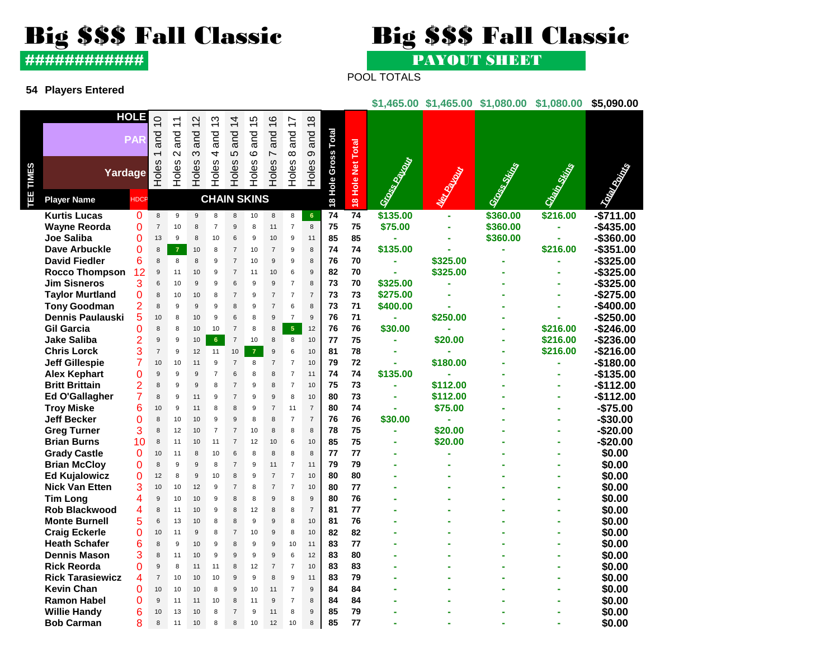# Big \$\$\$ Fall Classic Big \$\$\$ Fall Classic

############ PAYOUT SHEET

# POOL TOTALS

## **54 Players Entered**

### **\$1,465.00 \$1,465.00 \$1,080.00 \$1,080.00 \$5,090.00**

|              |                         | <b>HOLE</b>    | $\overline{0}$        | $\tilde{t}$              | $\sim$<br>≓  | က<br>∺             | 4<br>$\overline{\phantom{0}}$ | 5<br>$\overline{\phantom{0}}$ | စ<br>≓                          | $\overline{1}$  | $\infty$<br>$\ddot{ }$ |                            |                   |                      |                 |              |              |                                                                                                                      |
|--------------|-------------------------|----------------|-----------------------|--------------------------|--------------|--------------------|-------------------------------|-------------------------------|---------------------------------|-----------------|------------------------|----------------------------|-------------------|----------------------|-----------------|--------------|--------------|----------------------------------------------------------------------------------------------------------------------|
|              |                         | <b>PAR</b>     | and<br>$\overline{ }$ | and<br>$\mathbf{\Omega}$ | and<br>ო     | and<br>4           | and<br>5                      | and<br>$\circ$                | and<br>$\overline{\phantom{0}}$ | ang<br>$\infty$ | <b>Dug</b><br>တ        |                            |                   |                      |                 |              |              |                                                                                                                      |
| <b>TIMES</b> | Yardage                 |                | <b>Holes</b>          | Holes                    | Holes        | Holes              | Holes                         | Holes                         | Holes                           | Holes           | Holes                  | <b>18 Hole Gross Total</b> | 18 Hole Net Total | Grammary Corporation | <b>REACTION</b> | Grass String | Claim String | <b>Contract Contract Contract Contract Contract Contract Contract Contract Contract Contract Contract Contract C</b> |
| TEE          | <b>Player Name</b>      | <b>HDCP</b>    |                       |                          |              | <b>CHAIN SKINS</b> |                               |                               |                                 |                 |                        |                            |                   |                      |                 |              |              |                                                                                                                      |
|              | <b>Kurtis Lucas</b>     | 0              | 8                     | 9                        | 9            | 8                  | 8                             | 10                            | 8                               | 8               | 6 <sup>°</sup>         | 74                         | 74                | \$135.00             |                 | \$360.00     | \$216.00     | $-$711.00$                                                                                                           |
|              | <b>Wayne Reorda</b>     | 0              | $\overline{7}$        | 10                       | 8            | $\overline{7}$     | 9                             | 8                             | 11                              | $\overline{7}$  | 8                      | 75                         | 75                | \$75.00              |                 | \$360.00     |              | $-$435.00$                                                                                                           |
|              | Joe Saliba              | 0              | 13                    | 9                        | 8            | 10                 | 6                             | 9                             | 10                              | 9               | 11                     | 85                         | 85                |                      |                 | \$360.00     |              | -\$360.00                                                                                                            |
|              | Dave Arbuckle           | 0              | 8                     | $\overline{7}$           | 10           | 8                  | $\overline{7}$                | 10                            | $\overline{7}$                  | 9               | 8                      | 74                         | 74                | \$135.00             |                 |              | \$216.00     | $-$351.00$                                                                                                           |
|              | <b>David Fiedler</b>    | 6              | 8                     | 8                        | 8            | 9                  | $\overline{7}$                | 10                            | 9                               | 9               | 8                      | 76                         | 70                |                      | \$325.00        |              |              | $-$ \$325.00                                                                                                         |
|              | <b>Rocco Thompson</b>   | 12             | 9                     | 11                       | 10           | 9                  | $\overline{7}$                | 11                            | 10                              | 6               | 9                      | 82                         | 70                |                      | \$325.00        |              |              | $-$ \$325.00                                                                                                         |
|              | <b>Jim Sisneros</b>     | 3              | 6                     | 10                       | 9            | 9                  | 6                             | 9                             | 9                               | $\overline{7}$  | 8                      | 73                         | 70                | \$325.00             |                 |              |              | $-$325.00$                                                                                                           |
|              | <b>Taylor Murtland</b>  | 0              | 8                     | 10                       | 10           | 8                  | $\overline{7}$                | 9                             | $\overline{7}$                  | $\overline{7}$  | $\overline{7}$         | 73                         | 73                | \$275.00             |                 |              |              | -\$275.00                                                                                                            |
|              | <b>Tony Goodman</b>     | 2              | 8                     | 9                        | 9            | 9                  | 8                             | 9                             | $\overline{7}$                  | 6               | 8                      | 73                         | 71                | \$400.00             |                 |              |              | -\$400.00                                                                                                            |
|              | Dennis Paulauski        | 5              | 10                    | 8                        | 10           | 9                  | 6                             | 8                             | 9                               | $\overline{7}$  | 9                      | 76                         | 71                |                      | \$250.00        |              |              | $-$250.00$                                                                                                           |
|              | <b>Gil Garcia</b>       | 0              | 8                     | 8                        | 10           | 10                 | $\overline{7}$                | 8                             | 8                               | $\sqrt{5}$      | 12                     | 76                         | 76                | \$30.00              |                 |              | \$216.00     | $-$246.00$                                                                                                           |
|              | Jake Saliba             | 2              | 9                     | 9                        | 10           | $6\phantom{a}$     | $\overline{7}$                | 10                            | 8                               | 8               | 10                     | 77                         | 75                |                      | \$20.00         |              | \$216.00     | -\$236.00                                                                                                            |
|              | <b>Chris Lorck</b>      | 3              | $\overline{7}$        | 9                        | 12           | 11                 | 10                            | $\overline{7}$                | 9                               | 6               | 10                     | 81                         | 78                |                      |                 |              | \$216.00     | $-$216.00$                                                                                                           |
|              | <b>Jeff Gillespie</b>   | 7              | 10                    | 10                       | 11           | 9                  | 7                             | 8                             | $\overline{7}$                  | $\overline{7}$  | 10                     | 79                         | 72                |                      | \$180.00        |              |              | $-$180.00$                                                                                                           |
|              | Alex Kephart            | 0              | 9                     | 9                        | 9            | $\overline{7}$     | 6                             | 8                             | 8                               | $\overline{7}$  | 11                     | 74                         | 74                | \$135.00             |                 |              |              | $-$135.00$                                                                                                           |
|              | <b>Britt Brittain</b>   | 2              | 8                     | 9                        | $\mathbf{Q}$ | 8                  | $\overline{7}$                | $\mathbf{Q}$                  | 8                               | $\overline{7}$  | 10                     | 75                         | 73                |                      | \$112.00        |              |              | $-$112.00$                                                                                                           |
|              | Ed O'Gallagher          | $\overline{7}$ | 8                     | 9                        | 11           | 9                  | $\overline{7}$                | 9                             | $\overline{9}$                  | 8               | 10                     | 80                         | 73                |                      | \$112.00        |              |              | $-$112.00$                                                                                                           |
|              | <b>Troy Miske</b>       | 6              | 10                    | 9                        | 11           | 8                  | 8                             | 9                             | $\overline{7}$                  | 11              | $\overline{7}$         | 80                         | 74                | ÷,                   | \$75.00         |              |              | $-$75.00$                                                                                                            |
|              | <b>Jeff Becker</b>      | 0              | 8                     | 10                       | 10           | 9                  | $\boldsymbol{9}$              | 8                             | 8                               | $\overline{7}$  | $\overline{7}$         | 76                         | 76                | \$30.00              |                 |              |              | $-$30.00$                                                                                                            |
|              | <b>Greg Turner</b>      | 3              | 8                     | 12                       | 10           | $\overline{7}$     | $\overline{7}$                | 10                            | 8                               | 8               | 8                      | 78                         | 75                |                      | \$20.00         |              |              | $-$20.00$                                                                                                            |
|              | <b>Brian Burns</b>      | 10             | 8                     | 11                       | 10           | 11                 | $\overline{7}$                | 12                            | 10                              | 6               | 10                     | 85                         | 75                | ä,                   | \$20.00         |              |              | $-$20.00$                                                                                                            |
|              | <b>Grady Castle</b>     | $\Omega$       | 10                    | 11                       | 8            | 10                 | 6                             | <sub>8</sub>                  | 8                               | 8               | 8                      | 77                         | 77                |                      |                 |              |              | \$0.00                                                                                                               |
|              | <b>Brian McCloy</b>     | 0              | 8                     | 9                        | 9            | 8                  | $\overline{7}$                | 9                             | 11                              | $\overline{7}$  | 11                     | 79                         | 79                |                      |                 |              |              | \$0.00                                                                                                               |
|              | <b>Ed Kujalowicz</b>    | 0              | 12                    | 8                        | 9            | 10                 | 8                             | 9                             | $\overline{7}$                  | $\overline{7}$  | 10                     | 80                         | 80                |                      |                 |              |              | \$0.00                                                                                                               |
|              | <b>Nick Van Etten</b>   | 3              | 10                    | 10                       | 12           | 9                  | $\overline{7}$                | 8                             | $\overline{7}$                  | $\overline{7}$  | 10                     | 80                         | 77                |                      |                 |              |              | \$0.00                                                                                                               |
|              | <b>Tim Long</b>         | 4              | 9                     | 10                       | 10           | 9                  | 8                             | 8                             | 9                               | 8               | $\overline{9}$         | 80                         | 76                |                      |                 |              |              | \$0.00                                                                                                               |
|              | <b>Rob Blackwood</b>    | 4              | 8                     | 11                       | 10           | 9                  | 8                             | 12                            | 8                               | 8               | $\overline{7}$         | 81                         | 77                |                      |                 |              |              | \$0.00                                                                                                               |
|              | <b>Monte Burnell</b>    | 5              | 6                     | 13                       | 10           | 8                  | 8                             | 9                             | $\mathbf{q}$                    | 8               | 10                     | 81                         | 76                |                      |                 |              |              | \$0.00                                                                                                               |
|              | <b>Craig Eckerle</b>    | 0              | 10                    | 11                       | 9            | 8                  | $\overline{7}$                | 10                            | $9\,$                           | 8               | 10                     | 82                         | 82                |                      |                 |              |              | \$0.00                                                                                                               |
|              | <b>Heath Schafer</b>    | 6              | 8                     | 9                        | 10           | 9                  | 8                             | 9                             | 9                               | 10              | 11                     | 83                         | 77                |                      |                 |              |              | \$0.00                                                                                                               |
|              | <b>Dennis Mason</b>     | 3              | 8                     | 11                       | 10           | 9                  | 9                             | 9                             | 9                               | 6               | 12                     | 83                         | 80                |                      |                 |              |              | \$0.00                                                                                                               |
|              | <b>Rick Reorda</b>      | 0              | 9                     | 8                        | 11           | 11                 | 8                             | 12                            | $\overline{7}$                  | $\overline{7}$  | 10                     | 83                         | 83                |                      |                 |              |              | \$0.00                                                                                                               |
|              | <b>Rick Tarasiewicz</b> | 4              | $\overline{7}$        | 10                       | 10           | 10                 | 9                             | 9                             | 8                               | 9               | 11                     | 83                         | 79                |                      |                 |              |              | \$0.00                                                                                                               |
|              | <b>Kevin Chan</b>       | O              | 10                    | 10                       | 10           | 8                  | 9                             | 10                            | 11                              | $\overline{7}$  | 9                      | 84                         | 84                |                      |                 |              |              | \$0.00                                                                                                               |
|              | <b>Ramon Habel</b>      | 0              | 9                     | 11                       | 11           | 10                 | 8                             | 11                            | 9                               | $\overline{7}$  | 8                      | 84                         | 84                |                      |                 |              |              | \$0.00                                                                                                               |
|              | <b>Willie Handy</b>     | 6              | 10                    | 13                       | 10           | 8                  | $\overline{7}$                | 9                             | 11                              | 8               | 9                      | 85                         | 79                |                      |                 |              |              | \$0.00                                                                                                               |
|              | <b>Bob Carman</b>       | 8              | 8                     | 11                       | 10           | 8                  | 8                             | 10                            | 12                              | 10              | 8                      | 85                         | 77                |                      |                 |              |              | \$0.00                                                                                                               |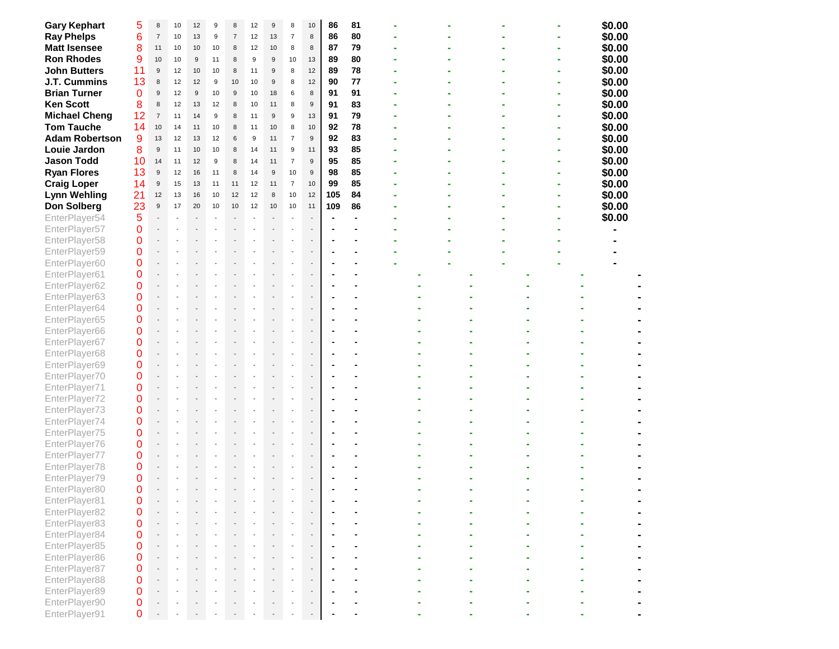| <b>Gary Kephart</b>   | 5              | 8                | 10 | 12                       | 9  | 8                | 12             | 9  | 8                        | 10                          | 86  | 81 |  |  |  | \$0.00 |  |
|-----------------------|----------------|------------------|----|--------------------------|----|------------------|----------------|----|--------------------------|-----------------------------|-----|----|--|--|--|--------|--|
| <b>Ray Phelps</b>     | 6              | $\overline{7}$   | 10 | 13                       | 9  | $\overline{7}$   | 12             | 13 | $\overline{7}$           | 8                           | 86  | 80 |  |  |  | \$0.00 |  |
| <b>Matt Isensee</b>   | 8              | 11               | 10 | 10                       | 10 | 8                | 12             | 10 | 8                        | 8                           | 87  | 79 |  |  |  | \$0.00 |  |
| <b>Ron Rhodes</b>     | 9              | 10               | 10 | 9                        | 11 | 8                | 9              | 9  | 10                       | 13                          | 89  | 80 |  |  |  | \$0.00 |  |
| <b>John Butters</b>   | 11             | $\boldsymbol{9}$ | 12 | 10                       | 10 | 8                | 11             | 9  | 8                        | 12                          | 89  | 78 |  |  |  | \$0.00 |  |
| J.T. Cummins          | 13             | 8                | 12 | 12                       | 9  | 10               | 10             | 9  | 8                        | 12                          | 90  | 77 |  |  |  | \$0.00 |  |
| <b>Brian Turner</b>   | $\Omega$       | 9                | 12 | 9                        | 10 | $\boldsymbol{9}$ | 10             | 18 | 6                        | 8                           | 91  | 91 |  |  |  | \$0.00 |  |
| <b>Ken Scott</b>      | 8              | 8                | 12 | 13                       | 12 | 8                | 10             | 11 | 8                        | $9\,$                       | 91  | 83 |  |  |  | \$0.00 |  |
| <b>Michael Cheng</b>  | 12             | $\overline{7}$   | 11 | 14                       | 9  | 8                | 11             | 9  | 9                        | 13                          | 91  | 79 |  |  |  | \$0.00 |  |
| <b>Tom Tauche</b>     | 14             | $10$             | 14 | 11                       | 10 | 8                | 11             | 10 | 8                        | 10                          | 92  | 78 |  |  |  | \$0.00 |  |
| <b>Adam Robertson</b> | 9              | 13               | 12 | 13                       | 12 | 6                | 9              | 11 | $\overline{7}$           | $9\,$                       | 92  | 83 |  |  |  | \$0.00 |  |
| Louie Jardon          | 8              | 9                | 11 | 10                       | 10 | 8                | 14             | 11 | 9                        | 11                          | 93  | 85 |  |  |  | \$0.00 |  |
| <b>Jason Todd</b>     | 10             | 14               | 11 | 12                       | 9  | 8                | 14             | 11 | $\overline{7}$           | $9\,$                       | 95  | 85 |  |  |  | \$0.00 |  |
|                       | 13             |                  |    |                          |    |                  |                |    |                          |                             | 98  | 85 |  |  |  |        |  |
| <b>Ryan Flores</b>    |                | $\boldsymbol{9}$ | 12 | 16                       | 11 | 8                | 14             | 9  | 10                       | 9                           |     |    |  |  |  | \$0.00 |  |
| <b>Craig Loper</b>    | 14             | 9                | 15 | 13                       | 11 | 11               | 12             | 11 | $\overline{7}$           | 10                          | 99  | 85 |  |  |  | \$0.00 |  |
| <b>Lynn Wehling</b>   | 21             | 12               | 13 | 16                       | 10 | 12               | 12             | 8  | 10                       | 12                          | 105 | 84 |  |  |  | \$0.00 |  |
| <b>Don Solberg</b>    | 23             | $\boldsymbol{9}$ | 17 | 20                       | 10 | 10               | 12             | 10 | 10                       | 11                          | 109 | 86 |  |  |  | \$0.00 |  |
| EnterPlayer54         | 5              |                  |    | $\overline{\phantom{a}}$ |    | $\blacksquare$   | $\overline{a}$ |    | $\sim$                   | $\overline{\phantom{a}}$    | ٠   |    |  |  |  | \$0.00 |  |
| EnterPlayer57         | 0              |                  |    |                          |    |                  |                |    | ÷,                       |                             |     |    |  |  |  |        |  |
| EnterPlayer58         | 0              |                  |    |                          |    |                  |                |    |                          |                             |     |    |  |  |  |        |  |
| EnterPlayer59         | 0              |                  |    |                          |    |                  |                |    |                          |                             |     |    |  |  |  |        |  |
| EnterPlayer60         | 0              |                  |    |                          |    |                  |                |    | $\overline{a}$           |                             |     |    |  |  |  |        |  |
| EnterPlayer61         | 0              |                  |    |                          |    |                  |                |    |                          |                             |     |    |  |  |  |        |  |
| EnterPlayer62         | 0              |                  |    |                          |    |                  |                |    |                          |                             |     |    |  |  |  |        |  |
| EnterPlayer63         | 0              |                  |    |                          |    |                  |                |    |                          |                             |     |    |  |  |  |        |  |
| EnterPlayer64         | 0              |                  |    |                          |    |                  |                |    |                          |                             |     |    |  |  |  |        |  |
| EnterPlayer65         | 0              |                  |    |                          |    |                  |                |    |                          |                             |     |    |  |  |  |        |  |
| EnterPlayer66         | 0              |                  |    |                          |    |                  |                |    |                          |                             |     |    |  |  |  |        |  |
| EnterPlayer67         | $\mathbf 0$    |                  |    |                          |    |                  |                |    |                          |                             |     |    |  |  |  |        |  |
| EnterPlayer68         | 0              |                  |    |                          |    |                  |                |    |                          |                             |     |    |  |  |  |        |  |
| EnterPlayer69         | 0              |                  |    |                          |    |                  |                |    | ÷,                       | $\blacksquare$              |     |    |  |  |  |        |  |
| EnterPlayer70         | 0              |                  |    |                          |    |                  |                |    |                          |                             |     |    |  |  |  |        |  |
| EnterPlayer71         | 0              |                  |    |                          |    |                  |                |    |                          |                             |     |    |  |  |  |        |  |
| EnterPlayer72         | 0              |                  |    |                          |    |                  |                |    |                          |                             |     |    |  |  |  |        |  |
| EnterPlayer73         | 0              |                  |    |                          |    |                  |                |    |                          |                             |     |    |  |  |  |        |  |
| EnterPlayer74         | 0              |                  |    |                          |    |                  |                |    |                          | $\overline{\phantom{a}}$    |     |    |  |  |  |        |  |
| EnterPlayer75         | 0              |                  |    |                          |    |                  |                |    |                          |                             |     |    |  |  |  |        |  |
| EnterPlayer76         | $\mathbf 0$    |                  |    |                          |    |                  |                |    |                          |                             |     |    |  |  |  |        |  |
| EnterPlayer77         | 0              |                  |    |                          |    |                  |                |    |                          | $\overline{\phantom{a}}$    |     |    |  |  |  |        |  |
| EnterPlayer78         | 0              |                  |    |                          |    |                  |                |    | $\sim$                   | $\sim$                      |     |    |  |  |  |        |  |
| EnterPlayer79         | 0              |                  |    |                          |    |                  |                |    | $\overline{\phantom{a}}$ | $\overline{\phantom{a}}$    |     |    |  |  |  |        |  |
| EnterPlayer80         | $\Omega$       |                  |    |                          |    |                  |                |    | $\sim$                   | $\overline{a}$              |     |    |  |  |  |        |  |
| EnterPlayer81         | $\mathbf 0$    |                  |    |                          |    |                  |                |    |                          |                             |     |    |  |  |  |        |  |
| EnterPlayer82         | 0              |                  |    |                          |    |                  |                |    |                          |                             |     |    |  |  |  |        |  |
| EnterPlayer83         | $\overline{0}$ |                  |    |                          |    |                  |                |    |                          | $\mathcal{L}_{\mathcal{A}}$ |     |    |  |  |  |        |  |
| EnterPlayer84         | $\overline{0}$ |                  |    |                          |    |                  |                |    |                          |                             |     |    |  |  |  |        |  |
| EnterPlayer85         | 0              |                  |    |                          |    |                  |                |    |                          |                             |     |    |  |  |  |        |  |
| EnterPlayer86         | $\Omega$       |                  |    |                          |    |                  |                |    |                          |                             |     |    |  |  |  |        |  |
| EnterPlayer87         | $\Omega$       |                  |    |                          |    |                  |                |    |                          |                             |     |    |  |  |  |        |  |
| EnterPlayer88         | $\Omega$       |                  |    |                          |    |                  |                |    |                          |                             |     |    |  |  |  |        |  |
| EnterPlayer89         | $\Omega$       |                  |    |                          |    |                  |                |    |                          |                             |     |    |  |  |  |        |  |
| EnterPlayer90         | 0              |                  |    |                          |    |                  |                |    |                          | $\sim$                      |     |    |  |  |  |        |  |
| EnterPlayer91         | $\Omega$       |                  |    |                          |    |                  |                |    |                          |                             |     |    |  |  |  |        |  |